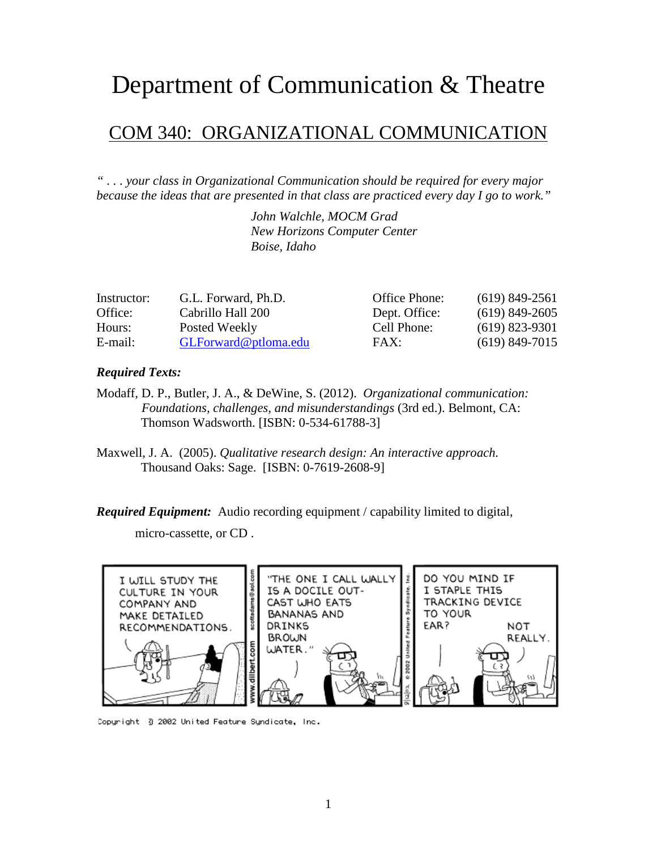### Department of Communication & Theatre

#### COM 340: ORGANIZATIONAL COMMUNICATION

*" . . . your class in Organizational Communication should be required for every major because the ideas that are presented in that class are practiced every day I go to work."*

> *John Walchle, MOCM Grad New Horizons Computer Center Boise, Idaho*

| Instructor: | G.L. Forward, Ph.D.  | Office Phone: | $(619)$ 849-2561 |
|-------------|----------------------|---------------|------------------|
| Office:     | Cabrillo Hall 200    | Dept. Office: | $(619)$ 849-2605 |
| Hours:      | Posted Weekly        | Cell Phone:   | $(619)$ 823-9301 |
| E-mail:     | GLForward@ptloma.edu | FAX:          | $(619)$ 849-7015 |

#### *Required Texts:*

- Modaff, D. P., Butler, J. A., & DeWine, S. (2012). *Organizational communication: Foundations, challenges, and misunderstandings* (3rd ed.). Belmont, CA: Thomson Wadsworth. [ISBN: 0-534-61788-3]
- Maxwell, J. A. (2005). *Qualitative research design: An interactive approach.* Thousand Oaks: Sage. [ISBN: 0-7619-2608-9]

*Required Equipment:* Audio recording equipment / capability limited to digital,

micro-cassette, or CD .



Copyright 3 2002 United Feature Syndicate, Inc.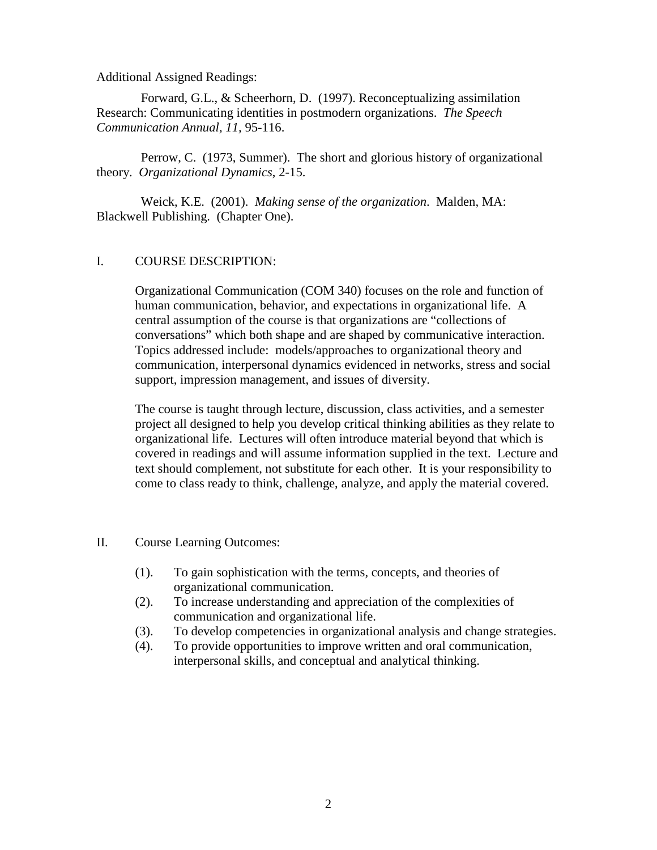Additional Assigned Readings:

Forward, G.L., & Scheerhorn, D. (1997). Reconceptualizing assimilation Research: Communicating identities in postmodern organizations. *The Speech Communication Annual, 11,* 95-116.

Perrow, C. (1973, Summer). The short and glorious history of organizational theory. *Organizational Dynamics*, 2-15.

Weick, K.E. (2001). *Making sense of the organization*. Malden, MA: Blackwell Publishing. (Chapter One).

#### I. COURSE DESCRIPTION:

Organizational Communication (COM 340) focuses on the role and function of human communication, behavior, and expectations in organizational life. A central assumption of the course is that organizations are "collections of conversations" which both shape and are shaped by communicative interaction. Topics addressed include: models/approaches to organizational theory and communication, interpersonal dynamics evidenced in networks, stress and social support, impression management, and issues of diversity.

The course is taught through lecture, discussion, class activities, and a semester project all designed to help you develop critical thinking abilities as they relate to organizational life. Lectures will often introduce material beyond that which is covered in readings and will assume information supplied in the text. Lecture and text should complement, not substitute for each other. It is your responsibility to come to class ready to think, challenge, analyze, and apply the material covered.

#### II. Course Learning Outcomes:

- (1). To gain sophistication with the terms, concepts, and theories of organizational communication.
- (2). To increase understanding and appreciation of the complexities of communication and organizational life.
- (3). To develop competencies in organizational analysis and change strategies.
- (4). To provide opportunities to improve written and oral communication, interpersonal skills, and conceptual and analytical thinking.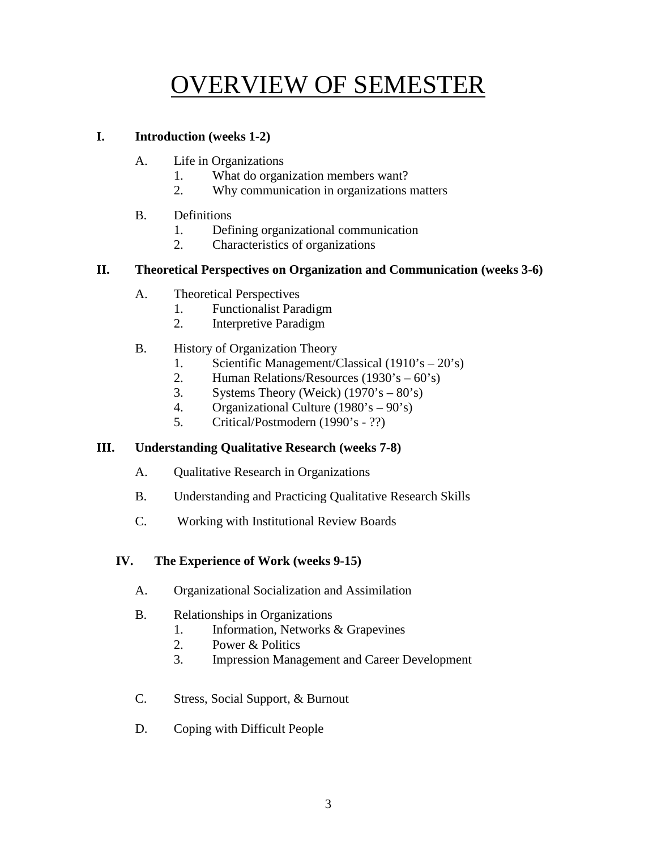## OVERVIEW OF SEMESTER

#### **I. Introduction (weeks 1-2)**

- A. Life in Organizations
	- 1. What do organization members want?
	- 2. Why communication in organizations matters
- B. Definitions
	- 1. Defining organizational communication
	- 2. Characteristics of organizations

#### **II. Theoretical Perspectives on Organization and Communication (weeks 3-6)**

- A. Theoretical Perspectives
	- 1. Functionalist Paradigm
	- 2. Interpretive Paradigm
- B. History of Organization Theory
	- 1. Scientific Management/Classical (1910's 20's)
	- 2. Human Relations/Resources (1930's 60's)
	- 3. Systems Theory (Weick)  $(1970 \text{°s} 80 \text{°s})$
	- 4. Organizational Culture (1980's 90's)
	- 5. Critical/Postmodern (1990's ??)

#### **III. Understanding Qualitative Research (weeks 7-8)**

- A. Qualitative Research in Organizations
- B. Understanding and Practicing Qualitative Research Skills
- C. Working with Institutional Review Boards

#### **IV. The Experience of Work (weeks 9-15)**

- A. Organizational Socialization and Assimilation
- B. Relationships in Organizations
	- 1. Information, Networks & Grapevines
	- 2. Power & Politics
	- 3. Impression Management and Career Development
- C. Stress, Social Support, & Burnout
- D. Coping with Difficult People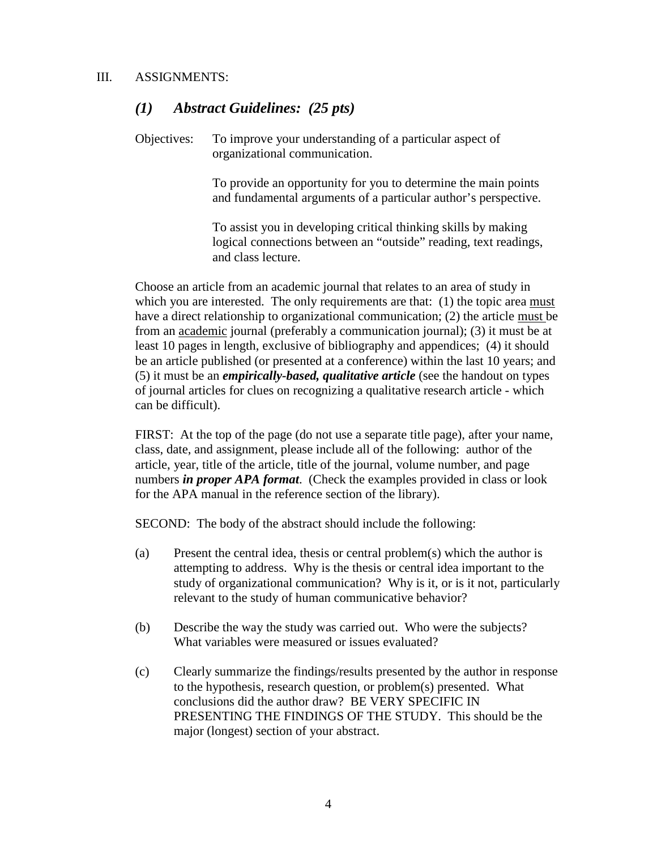#### *(1) Abstract Guidelines: (25 pts)*

Objectives: To improve your understanding of a particular aspect of organizational communication.

> To provide an opportunity for you to determine the main points and fundamental arguments of a particular author's perspective.

> To assist you in developing critical thinking skills by making logical connections between an "outside" reading, text readings, and class lecture.

Choose an article from an academic journal that relates to an area of study in which you are interested. The only requirements are that: (1) the topic area must have a direct relationship to organizational communication; (2) the article must be from an academic journal (preferably a communication journal); (3) it must be at least 10 pages in length, exclusive of bibliography and appendices; (4) it should be an article published (or presented at a conference) within the last 10 years; and (5) it must be an *empirically-based, qualitative article* (see the handout on types of journal articles for clues on recognizing a qualitative research article - which can be difficult).

FIRST: At the top of the page (do not use a separate title page), after your name, class, date, and assignment, please include all of the following: author of the article, year, title of the article, title of the journal, volume number, and page numbers *in proper APA format*. (Check the examples provided in class or look for the APA manual in the reference section of the library).

SECOND: The body of the abstract should include the following:

- (a) Present the central idea, thesis or central problem(s) which the author is attempting to address. Why is the thesis or central idea important to the study of organizational communication? Why is it, or is it not, particularly relevant to the study of human communicative behavior?
- (b) Describe the way the study was carried out. Who were the subjects? What variables were measured or issues evaluated?
- (c) Clearly summarize the findings/results presented by the author in response to the hypothesis, research question, or problem(s) presented. What conclusions did the author draw? BE VERY SPECIFIC IN PRESENTING THE FINDINGS OF THE STUDY. This should be the major (longest) section of your abstract.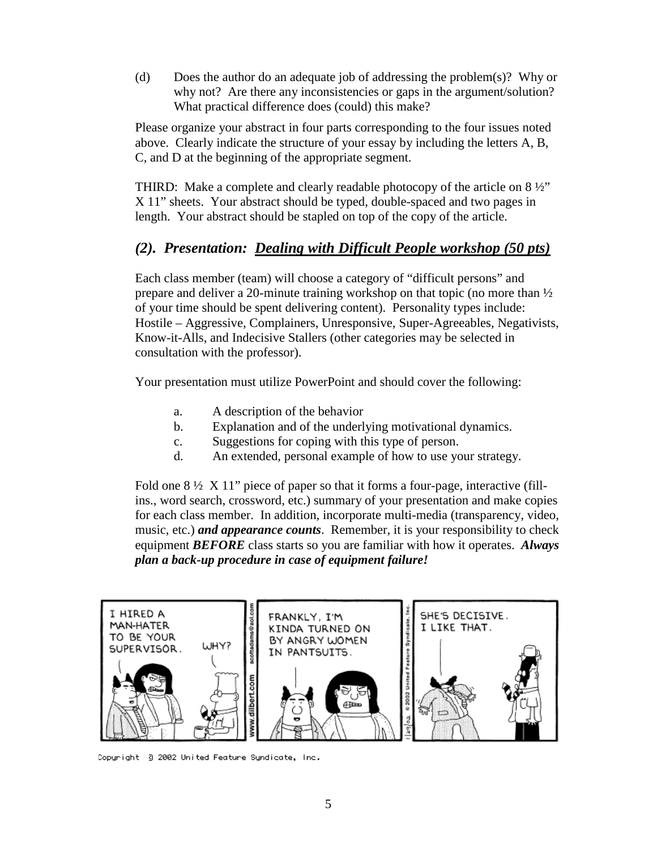(d) Does the author do an adequate job of addressing the problem(s)? Why or why not? Are there any inconsistencies or gaps in the argument/solution? What practical difference does (could) this make?

Please organize your abstract in four parts corresponding to the four issues noted above. Clearly indicate the structure of your essay by including the letters A, B, C, and D at the beginning of the appropriate segment.

THIRD: Make a complete and clearly readable photocopy of the article on  $8\frac{1}{2}$ " X 11" sheets. Your abstract should be typed, double-spaced and two pages in length. Your abstract should be stapled on top of the copy of the article.

#### *(2). Presentation: Dealing with Difficult People workshop (50 pts)*

Each class member (team) will choose a category of "difficult persons" and prepare and deliver a 20-minute training workshop on that topic (no more than ½ of your time should be spent delivering content). Personality types include: Hostile – Aggressive, Complainers, Unresponsive, Super-Agreeables, Negativists, Know-it-Alls, and Indecisive Stallers (other categories may be selected in consultation with the professor).

Your presentation must utilize PowerPoint and should cover the following:

- a. A description of the behavior
- b. Explanation and of the underlying motivational dynamics.
- c. Suggestions for coping with this type of person.
- d. An extended, personal example of how to use your strategy.

Fold one  $8\frac{1}{2}$  X 11" piece of paper so that it forms a four-page, interactive (fillins., word search, crossword, etc.) summary of your presentation and make copies for each class member. In addition, incorporate multi-media (transparency, video, music, etc.) *and appearance counts*. Remember, it is your responsibility to check equipment *BEFORE* class starts so you are familiar with how it operates. *Always plan a back-up procedure in case of equipment failure!*



Copyright 3 2002 United Feature Syndicate, Inc.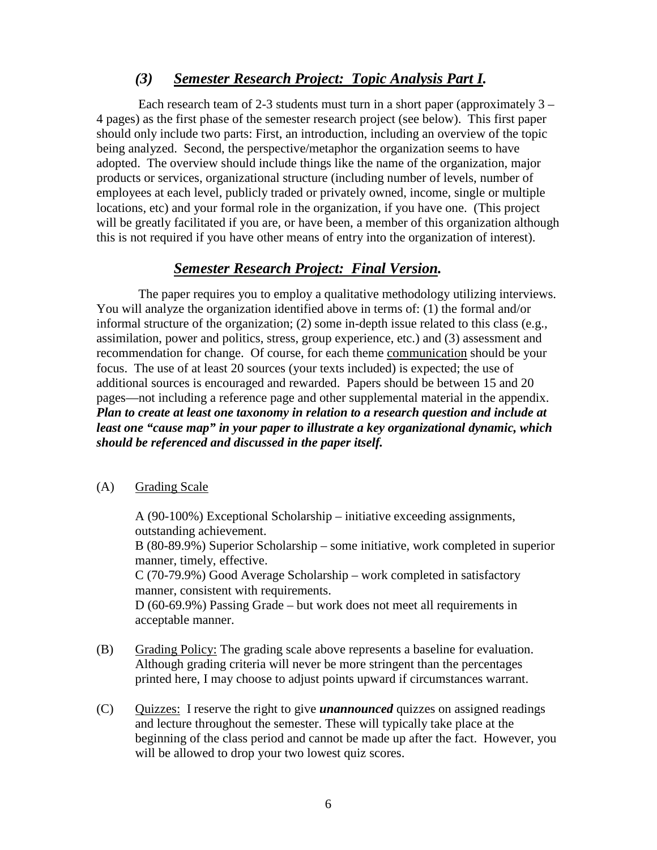#### *(3) Semester Research Project: Topic Analysis Part I.*

Each research team of 2-3 students must turn in a short paper (approximately  $3 -$ 4 pages) as the first phase of the semester research project (see below). This first paper should only include two parts: First, an introduction, including an overview of the topic being analyzed. Second, the perspective/metaphor the organization seems to have adopted. The overview should include things like the name of the organization, major products or services, organizational structure (including number of levels, number of employees at each level, publicly traded or privately owned, income, single or multiple locations, etc) and your formal role in the organization, if you have one. (This project will be greatly facilitated if you are, or have been, a member of this organization although this is not required if you have other means of entry into the organization of interest).

#### *Semester Research Project: Final Version.*

The paper requires you to employ a qualitative methodology utilizing interviews. You will analyze the organization identified above in terms of: (1) the formal and/or informal structure of the organization; (2) some in-depth issue related to this class (e.g., assimilation, power and politics, stress, group experience, etc.) and (3) assessment and recommendation for change. Of course, for each theme communication should be your focus. The use of at least 20 sources (your texts included) is expected; the use of additional sources is encouraged and rewarded. Papers should be between 15 and 20 pages—not including a reference page and other supplemental material in the appendix. *Plan to create at least one taxonomy in relation to a research question and include at least one "cause map" in your paper to illustrate a key organizational dynamic, which should be referenced and discussed in the paper itself.* 

#### (A) Grading Scale

A (90-100%) Exceptional Scholarship – initiative exceeding assignments, outstanding achievement.

B (80-89.9%) Superior Scholarship – some initiative, work completed in superior manner, timely, effective.

C (70-79.9%) Good Average Scholarship – work completed in satisfactory manner, consistent with requirements.

D (60-69.9%) Passing Grade – but work does not meet all requirements in acceptable manner.

- (B) Grading Policy: The grading scale above represents a baseline for evaluation. Although grading criteria will never be more stringent than the percentages printed here, I may choose to adjust points upward if circumstances warrant.
- (C) Quizzes: I reserve the right to give *unannounced* quizzes on assigned readings and lecture throughout the semester. These will typically take place at the beginning of the class period and cannot be made up after the fact. However, you will be allowed to drop your two lowest quiz scores.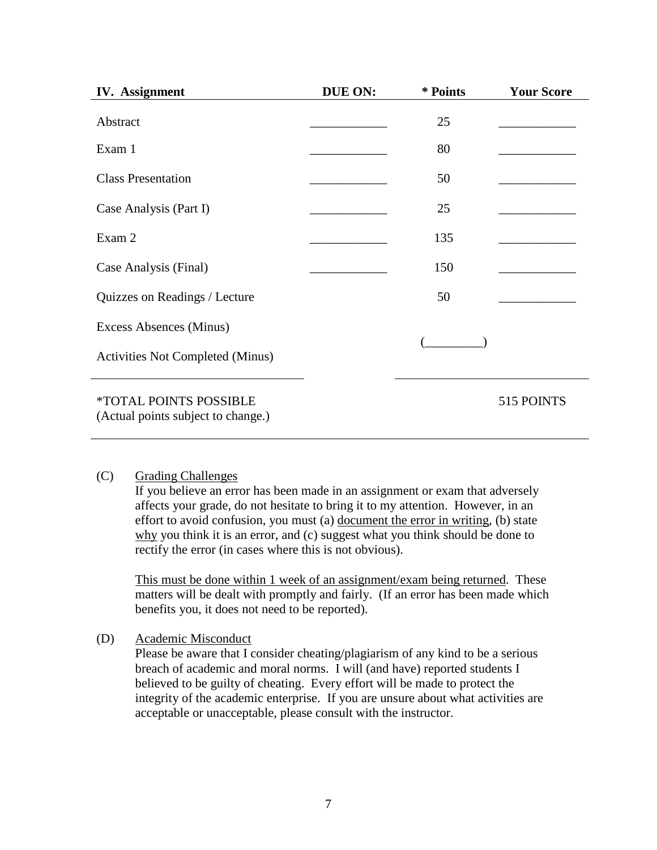| <b>IV.</b> Assignment                                        | DUE ON: | * Points | <b>Your Score</b> |
|--------------------------------------------------------------|---------|----------|-------------------|
| Abstract                                                     |         | 25       |                   |
| Exam 1                                                       |         | 80       |                   |
| <b>Class Presentation</b>                                    |         | 50       |                   |
| Case Analysis (Part I)                                       |         | 25       |                   |
| Exam 2                                                       |         | 135      |                   |
| Case Analysis (Final)                                        |         | 150      |                   |
| Quizzes on Readings / Lecture                                |         | 50       |                   |
| Excess Absences (Minus)                                      |         |          |                   |
| <b>Activities Not Completed (Minus)</b>                      |         |          |                   |
| *TOTAL POINTS POSSIBLE<br>(Actual points subject to change.) |         |          | 515 POINTS        |

#### (C) Grading Challenges

If you believe an error has been made in an assignment or exam that adversely affects your grade, do not hesitate to bring it to my attention. However, in an effort to avoid confusion, you must (a) document the error in writing, (b) state why you think it is an error, and (c) suggest what you think should be done to rectify the error (in cases where this is not obvious).

This must be done within 1 week of an assignment/exam being returned. These matters will be dealt with promptly and fairly. (If an error has been made which benefits you, it does not need to be reported).

(D) Academic Misconduct

Please be aware that I consider cheating/plagiarism of any kind to be a serious breach of academic and moral norms. I will (and have) reported students I believed to be guilty of cheating. Every effort will be made to protect the integrity of the academic enterprise. If you are unsure about what activities are acceptable or unacceptable, please consult with the instructor.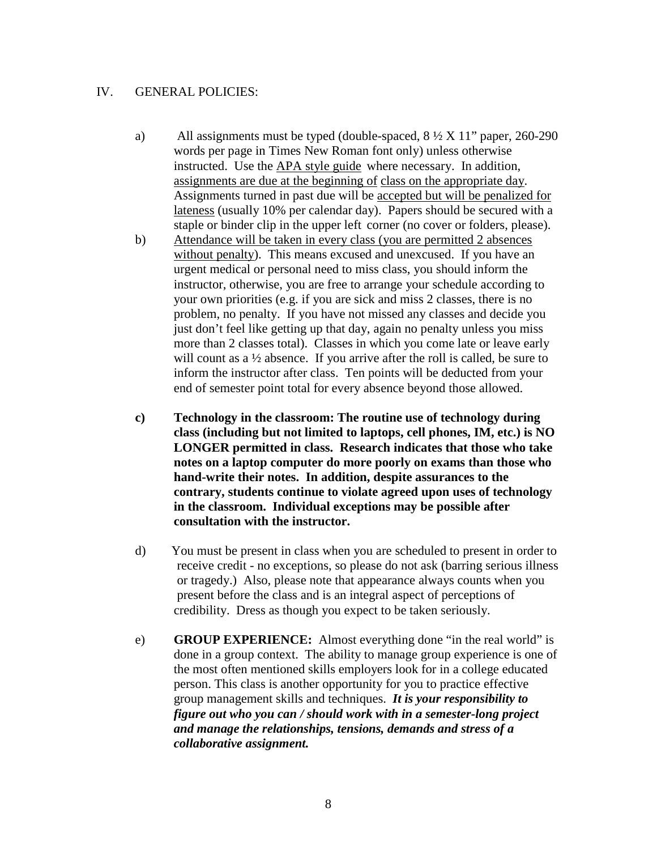#### IV. GENERAL POLICIES:

- a) All assignments must be typed (double-spaced,  $8\frac{1}{2}$  X  $11$ " paper, 260-290 words per page in Times New Roman font only) unless otherwise instructed. Use the APA style guide where necessary. In addition, assignments are due at the beginning of class on the appropriate day. Assignments turned in past due will be accepted but will be penalized for lateness (usually 10% per calendar day). Papers should be secured with a staple or binder clip in the upper left corner (no cover or folders, please).
- b) Attendance will be taken in every class (you are permitted 2 absences without penalty). This means excused and unexcused. If you have an urgent medical or personal need to miss class, you should inform the instructor, otherwise, you are free to arrange your schedule according to your own priorities (e.g. if you are sick and miss 2 classes, there is no problem, no penalty. If you have not missed any classes and decide you just don't feel like getting up that day, again no penalty unless you miss more than 2 classes total). Classes in which you come late or leave early will count as a <sup>1/2</sup> absence. If you arrive after the roll is called, be sure to inform the instructor after class. Ten points will be deducted from your end of semester point total for every absence beyond those allowed.
- **c) Technology in the classroom: The routine use of technology during class (including but not limited to laptops, cell phones, IM, etc.) is NO LONGER permitted in class. Research indicates that those who take notes on a laptop computer do more poorly on exams than those who hand-write their notes. In addition, despite assurances to the contrary, students continue to violate agreed upon uses of technology in the classroom. Individual exceptions may be possible after consultation with the instructor.**
- d) You must be present in class when you are scheduled to present in order to receive credit - no exceptions, so please do not ask (barring serious illness or tragedy.) Also, please note that appearance always counts when you present before the class and is an integral aspect of perceptions of credibility. Dress as though you expect to be taken seriously.
- e) **GROUP EXPERIENCE:** Almost everything done "in the real world" is done in a group context. The ability to manage group experience is one of the most often mentioned skills employers look for in a college educated person. This class is another opportunity for you to practice effective group management skills and techniques. *It is your responsibility to figure out who you can / should work with in a semester-long project and manage the relationships, tensions, demands and stress of a collaborative assignment.*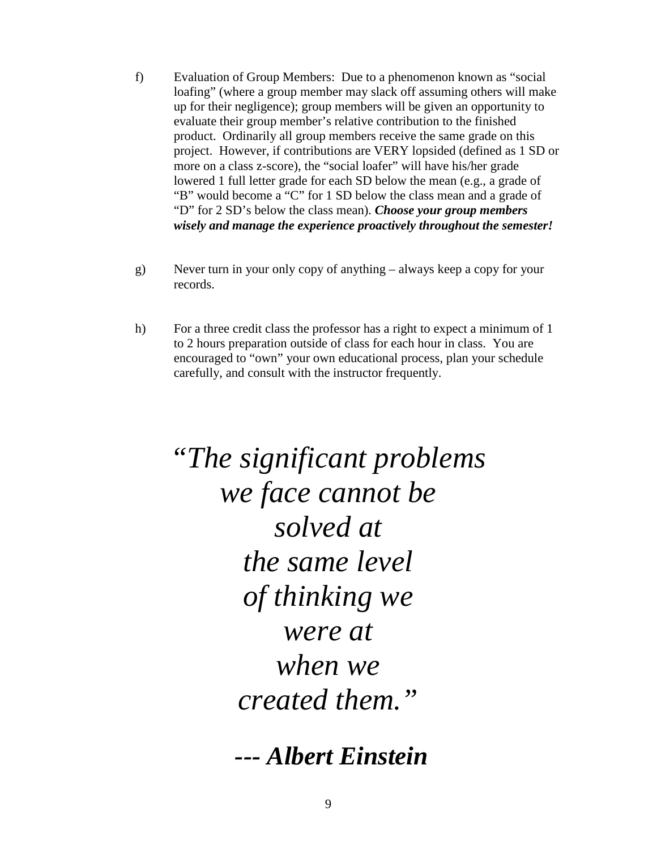- f) Evaluation of Group Members: Due to a phenomenon known as "social loafing" (where a group member may slack off assuming others will make up for their negligence); group members will be given an opportunity to evaluate their group member's relative contribution to the finished product. Ordinarily all group members receive the same grade on this project. However, if contributions are VERY lopsided (defined as 1 SD or more on a class z-score), the "social loafer" will have his/her grade lowered 1 full letter grade for each SD below the mean (e.g., a grade of "B" would become a "C" for 1 SD below the class mean and a grade of "D" for 2 SD's below the class mean). *Choose your group members wisely and manage the experience proactively throughout the semester!*
- g) Never turn in your only copy of anything always keep a copy for your records.
- h) For a three credit class the professor has a right to expect a minimum of 1 to 2 hours preparation outside of class for each hour in class. You are encouraged to "own" your own educational process, plan your schedule carefully, and consult with the instructor frequently.

*"The significant problems we face cannot be solved at the same level of thinking we were at when we created them."* 

*--- Albert Einstein*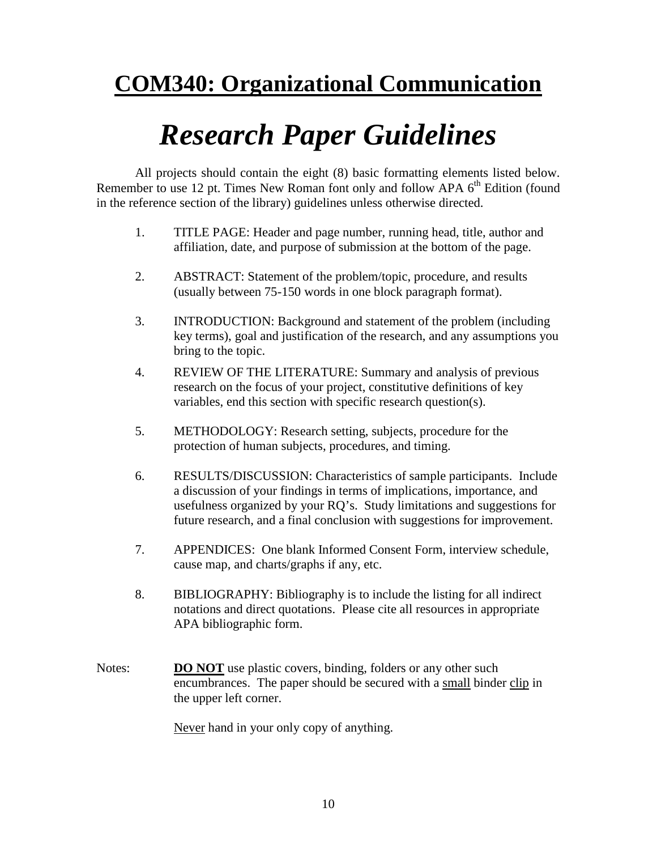### **COM340: Organizational Communication**

## *Research Paper Guidelines*

All projects should contain the eight (8) basic formatting elements listed below. Remember to use 12 pt. Times New Roman font only and follow APA  $6<sup>th</sup>$  Edition (found in the reference section of the library) guidelines unless otherwise directed.

- 1. TITLE PAGE: Header and page number, running head, title, author and affiliation, date, and purpose of submission at the bottom of the page.
- 2. ABSTRACT: Statement of the problem/topic, procedure, and results (usually between 75-150 words in one block paragraph format).
- 3. INTRODUCTION: Background and statement of the problem (including key terms), goal and justification of the research, and any assumptions you bring to the topic.
- 4. REVIEW OF THE LITERATURE: Summary and analysis of previous research on the focus of your project, constitutive definitions of key variables, end this section with specific research question(s).
- 5. METHODOLOGY: Research setting, subjects, procedure for the protection of human subjects, procedures, and timing.
- 6. RESULTS/DISCUSSION: Characteristics of sample participants. Include a discussion of your findings in terms of implications, importance, and usefulness organized by your RQ's. Study limitations and suggestions for future research, and a final conclusion with suggestions for improvement.
- 7. APPENDICES: One blank Informed Consent Form, interview schedule, cause map, and charts/graphs if any, etc.
- 8. BIBLIOGRAPHY: Bibliography is to include the listing for all indirect notations and direct quotations. Please cite all resources in appropriate APA bibliographic form.
- Notes: **DO NOT** use plastic covers, binding, folders or any other such encumbrances. The paper should be secured with a small binder clip in the upper left corner.

Never hand in your only copy of anything.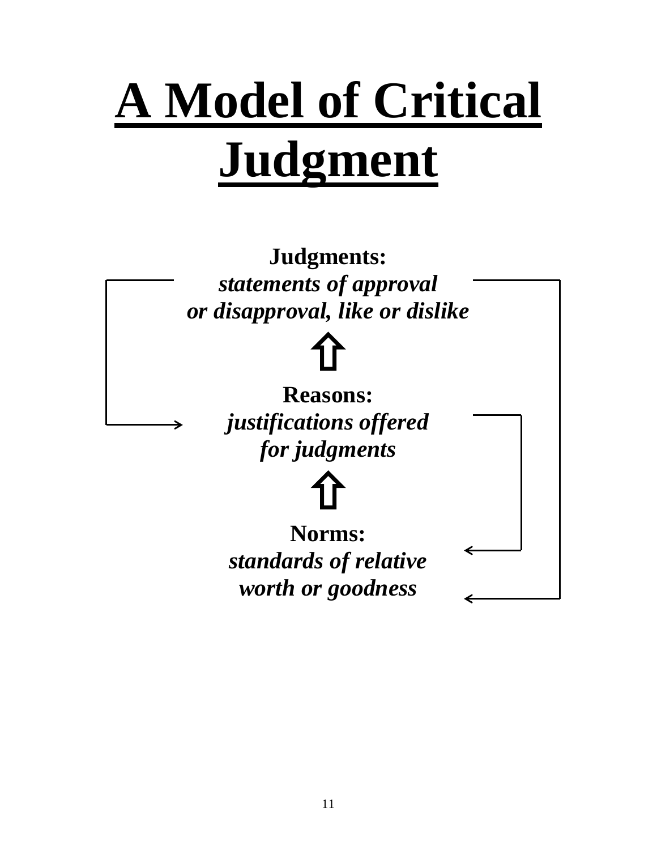# **A Model of Critical Judgment**

**Judgments:** *statements of approval or disapproval, like or dislike*

> 仚 **Reasons:** *justifications offered for judgments*

仚 **Norms:** *standards of relative worth or goodness*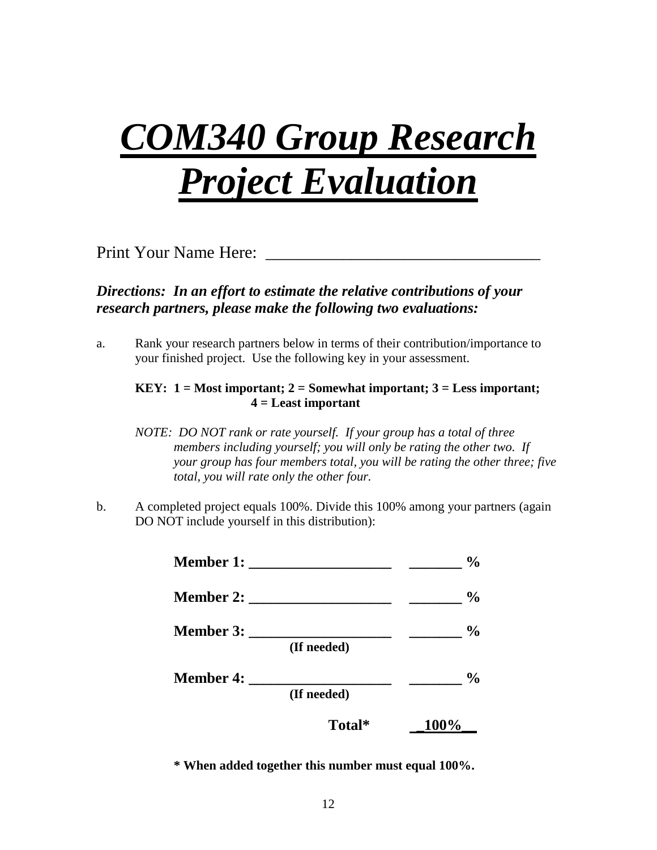## *COM340 Group Research Project Evaluation*

Print Your Name Here:

#### *Directions: In an effort to estimate the relative contributions of your research partners, please make the following two evaluations:*

a. Rank your research partners below in terms of their contribution/importance to your finished project. Use the following key in your assessment.

#### **KEY: 1 = Most important; 2 = Somewhat important; 3 = Less important; 4 = Least important**

- *NOTE: DO NOT rank or rate yourself. If your group has a total of three members including yourself; you will only be rating the other two. If your group has four members total, you will be rating the other three; five total, you will rate only the other four.*
- b. A completed project equals 100%. Divide this 100% among your partners (again DO NOT include yourself in this distribution):



**\* When added together this number must equal 100%.**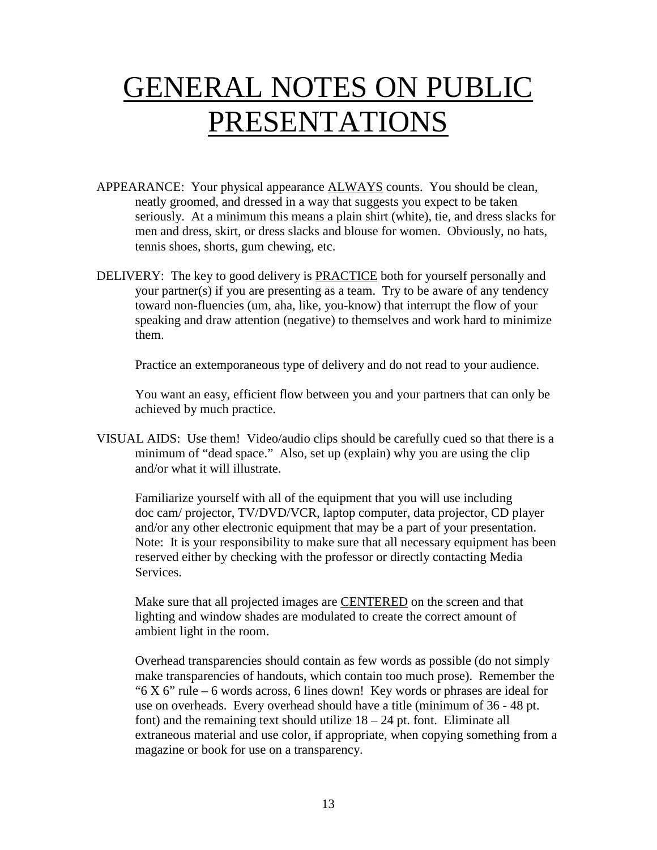## GENERAL NOTES ON PUBLIC PRESENTATIONS

- APPEARANCE: Your physical appearance **ALWAYS** counts. You should be clean, neatly groomed, and dressed in a way that suggests you expect to be taken seriously. At a minimum this means a plain shirt (white), tie, and dress slacks for men and dress, skirt, or dress slacks and blouse for women. Obviously, no hats, tennis shoes, shorts, gum chewing, etc.
- DELIVERY: The key to good delivery is **PRACTICE** both for yourself personally and your partner(s) if you are presenting as a team. Try to be aware of any tendency toward non-fluencies (um, aha, like, you-know) that interrupt the flow of your speaking and draw attention (negative) to themselves and work hard to minimize them.

Practice an extemporaneous type of delivery and do not read to your audience.

You want an easy, efficient flow between you and your partners that can only be achieved by much practice.

VISUAL AIDS: Use them! Video/audio clips should be carefully cued so that there is a minimum of "dead space." Also, set up (explain) why you are using the clip and/or what it will illustrate.

Familiarize yourself with all of the equipment that you will use including doc cam/ projector, TV/DVD/VCR, laptop computer, data projector, CD player and/or any other electronic equipment that may be a part of your presentation. Note: It is your responsibility to make sure that all necessary equipment has been reserved either by checking with the professor or directly contacting Media Services.

Make sure that all projected images are CENTERED on the screen and that lighting and window shades are modulated to create the correct amount of ambient light in the room.

Overhead transparencies should contain as few words as possible (do not simply make transparencies of handouts, which contain too much prose). Remember the " $6$  X  $6$ " rule – 6 words across, 6 lines down! Key words or phrases are ideal for use on overheads. Every overhead should have a title (minimum of 36 - 48 pt. font) and the remaining text should utilize  $18 - 24$  pt. font. Eliminate all extraneous material and use color, if appropriate, when copying something from a magazine or book for use on a transparency.